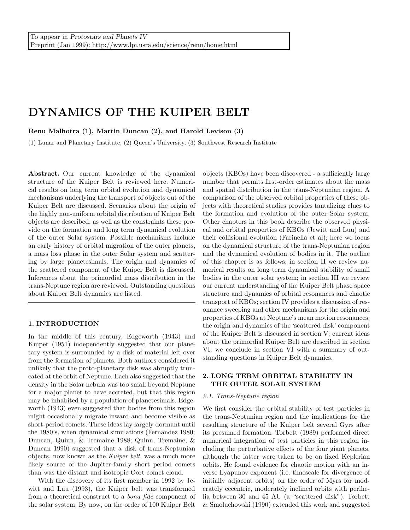# **DYNAMICS OF THE KUIPER BELT**

**Renu Malhotra (1), Martin Duncan (2), and Harold Levison (3)**

(1) Lunar and Planetary Institute, (2) Queen's University, (3) Southwest Research Institute

**Abstract.** Our current knowledge of the dynamical structure of the Kuiper Belt is reviewed here. Numerical results on long term orbital evolution and dynamical mechanisms underlying the transport of objects out of the Kuiper Belt are discussed. Scenarios about the origin of the highly non-uniform orbital distribution of Kuiper Belt objects are described, as well as the constraints these provide on the formation and long term dynamical evolution of the outer Solar system. Possible mechanisms include an early history of orbital migration of the outer planets, a mass loss phase in the outer Solar system and scattering by large planetesimals. The origin and dynamics of the scattered component of the Kuiper Belt is discussed. Inferences about the primordial mass distribution in the trans-Neptune region are reviewed. Outstanding questions about Kuiper Belt dynamics are listed.

# **1. INTRODUCTION**

In the middle of this century, Edgeworth (1943) and Kuiper (1951) independently suggested that our planetary system is surrounded by a disk of material left over from the formation of planets. Both authors considered it unlikely that the proto-planetary disk was abruptly truncated at the orbit of Neptune. Each also suggested that the density in the Solar nebula was too small beyond Neptune for a major planet to have accreted, but that this region may be inhabited by a population of planetesimals. Edgeworth (1943) even suggested that bodies from this region might occasionally migrate inward and become visible as short-period comets. These ideas lay largely dormant until the 1980's, when dynamical simulations (Fernandez 1980; Duncan, Quinn, & Tremaine 1988; Quinn, Tremaine, & Duncan 1990) suggested that a disk of trans-Neptunian objects, now known as the *Kuiper belt*, was a much more likely source of the Jupiter-family short period comets than was the distant and isotropic Oort comet cloud.

With the discovery of its first member in 1992 by Jewitt and Luu (1993), the Kuiper belt was transformed from a theoretical construct to a *bona fide* component of the solar system. By now, on the order of 100 Kuiper Belt

objects (KBOs) have been discovered - a sufficiently large number that permits first-order estimates about the mass and spatial distribution in the trans-Neptunian region. A comparison of the observed orbital properties of these objects with theoretical studies provides tantalizing clues to the formation and evolution of the outer Solar system. Other chapters in this book describe the observed physical and orbital properties of KBOs (Jewitt and Luu) and their collisional evolution (Farinella et al); here we focus on the dynamical structure of the trans-Neptunian region and the dynamical evolution of bodies in it. The outline of this chapter is as follows: in section II we review numerical results on long term dynamical stability of small bodies in the outer solar system; in section III we review our current understanding of the Kuiper Belt phase space structure and dynamics of orbital resonances and chaotic transport of KBOs; section IV provides a discussion of resonance sweeping and other mechanisms for the origin and properties of KBOs at Neptune's mean motion resonances; the origin and dynamics of the 'scattered disk' component of the Kuiper Belt is discussed in section V; current ideas about the primordial Kuiper Belt are described in section VI; we conclude in section VI with a summary of outstanding questions in Kuiper Belt dynamics.

## **2. LONG TERM ORBITAL STABILITY IN THE OUTER SOLAR SYSTEM**

#### *2.1. Trans-Neptune region*

We first consider the orbital stability of test particles in the trans-Neptunian region and the implications for the resulting structure of the Kuiper belt several Gyrs after its presumed formation. Torbett (1989) performed direct numerical integration of test particles in this region including the perturbative effects of the four giant planets, although the latter were taken to be on fixed Keplerian orbits. He found evidence for chaotic motion with an inverse Lyapunov exponent (i.e. timescale for divergence of initially adjacent orbits) on the order of Myrs for moderately eccentric, moderately inclined orbits with perihelia between 30 and 45 AU (a "scattered disk"). Torbett & Smoluchowski (1990) extended this work and suggested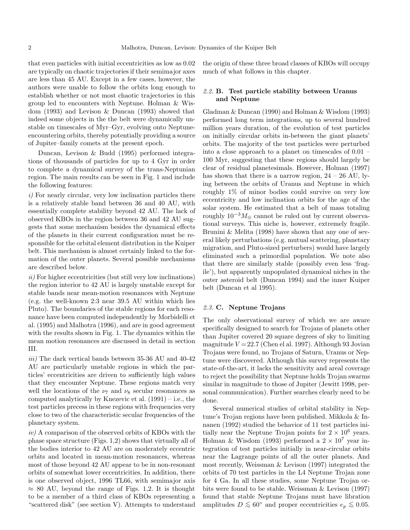that even particles with initial eccentricities as low as 0.02 are typically on chaotic trajectories if their semimajor axes are less than 45 AU. Except in a few cases, however, the authors were unable to follow the orbits long enough to establish whether or not most chaotic trajectories in this group led to encounters with Neptune. Holman & Wisdom (1993) and Levison & Duncan (1993) showed that indeed some objects in the the belt were dynamically unstable on timescales of Myr–Gyr, evolving onto Neptuneencountering orbits, thereby potentially providing a source of Jupiter–family comets at the present epoch.

Duncan, Levison & Budd (1995) performed integrations of thousands of particles for up to 4 Gyr in order to complete a dynamical survey of the trans-Neptunian region. The main results can be seen in Fig. 1 and include the following features:

*i)* For nearly circular, very low inclination particles there is a relatively stable band between 36 and 40 AU, with essentially complete stability beyond 42 AU. The lack of observed KBOs in the region between 36 and 42 AU suggests that some mechanism besides the dynamical effects of the planets in their current configuration must be responsible for the orbital element distribution in the Kuiper belt. This mechanism is almost certainly linked to the formation of the outer planets. Several possible mechanisms are described below.

*ii)* For higher eccentricities (but still very low inclinations) the region interior to 42 AU is largely unstable except for stable bands near mean-motion resonances with Neptune (e.g. the well-known 2:3 near 39.5 AU within which lies Pluto). The boundaries of the stable regions for each resonance have been computed independently by Morbidelli et al. (1995) and Malhotra (1996), and are in good agreement with the results shown in Fig. 1. The dynamics within the mean motion resonances are discussed in detail in section III.

*iii)* The dark vertical bands between 35-36 AU and 40-42 AU are particularly unstable regions in which the particles' eccentricities are driven to sufficiently high values that they encounter Neptune. These regions match very well the locations of the  $\nu_7$  and  $\nu_8$  secular resonances as computed analytically by Knezevic et al. (1991) – i.e., the test particles precess in these regions with frequencies very close to two of the characteristic secular frequencies of the planetary system.

*iv)* A comparison of the observed orbits of KBOs with the phase space structure (Figs. 1,2) shows that virtually all of the bodies interior to 42 AU are on moderately eccentric orbits and located in mean-motion resonances, whereas most of those beyond 42 AU appear to be in non-resonant orbits of somewhat lower eccentricities. In addition, there is one observed object, 1996 TL66, with semimajor axis  $\approx 80$  AU, beyond the range of Figs. 1,2. It is thought to be a member of a third class of KBOs representing a "scattered disk" (see section V). Attempts to understand

the origin of these three broad classes of KBOs will occupy much of what follows in this chapter.

# *2.2.* **B. Test particle stability between Uranus and Neptune**

Gladman & Duncan (1990) and Holman & Wisdom (1993) performed long term integrations, up to several hundred million years duration, of the evolution of test particles on initially circular orbits in-between the giant planets' orbits. The majority of the test particles were perturbed into a close approach to a planet on timescales of 0.01 – 100 Myr, suggesting that these regions should largely be clear of residual planetesimals. However, Holman (1997) has shown that there is a narrow region,  $24 - 26$  AU, lying between the orbits of Uranus and Neptune in which roughly 1% of minor bodies could survive on very low eccentricity and low inclination orbits for the age of the solar system. He estimated that a belt of mass totaling roughly  $10^{-3}M_{\oplus}$  cannot be ruled out by current observational surveys. This niche is, however, extremely fragile. Brunini & Melita (1998) have shown that any one of several likely perturbations (e.g. mutual scattering, planetary migration, and Pluto-sized perturbers) would have largely eliminated such a primordial population. We note also that there are similarly stable (possibly even less 'fragile'), but apparently unpopulated dynamical niches in the outer asteroid belt (Duncan 1994) and the inner Kuiper belt (Duncan et al 1995).

## *2.3.* **C. Neptune Trojans**

The only observational survey of which we are aware specifically designed to search for Trojans of planets other than Jupiter covered 20 square degrees of sky to limiting magnitude  $V = 22.7$  (Chen el al. 1997). Although 93 Jovian Trojans were found, no Trojans of Saturn, Uranus or Neptune were discovered. Although this survey represents the state-of-the-art, it lacks the sensitivity and areal coverage to reject the possibility that Neptune holds Trojan swarms similar in magnitude to those of Jupiter (Jewitt 1998, personal communication). Further searches clearly need to be done.

Several numerical studies of orbital stability in Neptune's Trojan regions have been published. Mikkola & Innanen (1992) studied the behavior of 11 test particles initially near the Neptune Trojan points for  $2 \times 10^6$  years. Holman & Wisdom (1993) performed a  $2 \times 10^7$  year integration of test particles initially in near-circular orbits near the Lagrange points of all the outer planets. And most recently, Weissman & Levison (1997) integrated the orbits of 70 test particles in the L4 Neptune Trojan zone for 4 Ga. In all these studies, some Neptune Trojan orbits were found to be stable. Weissman & Levison (1997) found that stable Neptune Trojans must have libration amplitudes  $D \lesssim 60^{\circ}$  and proper eccentricities  $e_p \lesssim 0.05$ .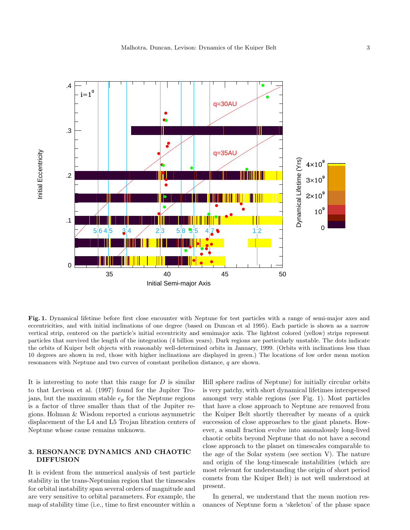

**Fig. 1.** Dynamical lifetime before first close encounter with Neptune for test particles with a range of semi-major axes and eccentricities, and with initial inclinations of one degree (based on Duncan et al 1995). Each particle is shown as a narrow vertical strip, centered on the particle's initial eccentricity and semimajor axis. The lightest colored (yellow) strips represent particles that survived the length of the integration (4 billion years). Dark regions are particularly unstable. The dots indicate the orbits of Kuiper belt objects with reasonably well-determined orbits in January, 1999. (Orbits with inclinations less than 10 degrees are shown in red, those with higher inclinations are displayed in green.) The locations of low order mean motion resonances with Neptune and two curves of constant perihelion distance, q are shown.

It is interesting to note that this range for  $D$  is similar to that Levison et al. (1997) found for the Jupiter Trojans, but the maximum stable  $e_p$  for the Neptune regions is a factor of three smaller than that of the Jupiter regions. Holman & Wisdom reported a curious asymmetric displacement of the L4 and L5 Trojan libration centers of Neptune whose cause remains unknown.

# **3. RESONANCE DYNAMICS AND CHAOTIC DIFFUSION**

It is evident from the numerical analysis of test particle stability in the trans-Neptunian region that the timescales for orbital instability span several orders of magnitude and are very sensitive to orbital parameters. For example, the map of stability time (i.e., time to first encounter within a Hill sphere radius of Neptune) for initially circular orbits is very patchy, with short dynamical lifetimes interspersed amongst very stable regions (see Fig. 1). Most particles that have a close approach to Neptune are removed from the Kuiper Belt shortly thereafter by means of a quick succession of close approaches to the giant planets. However, a small fraction evolve into anomalously long-lived chaotic orbits beyond Neptune that do not have a second close approach to the planet on timescales comparable to the age of the Solar system (see section V). The nature and origin of the long-timescale instabilities (which are most relevant for understanding the origin of short period comets from the Kuiper Belt) is not well understood at present.

In general, we understand that the mean motion resonances of Neptune form a 'skeleton' of the phase space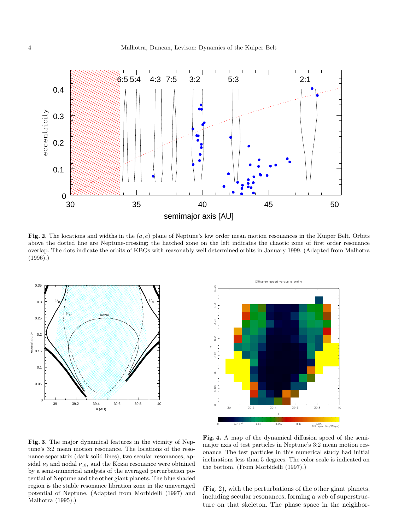

**Fig. 2.** The locations and widths in the  $(a, e)$  plane of Neptune's low order mean motion resonances in the Kuiper Belt. Orbits above the dotted line are Neptune-crossing; the hatched zone on the left indicates the chaotic zone of first order resonance overlap. The dots indicate the orbits of KBOs with reasonably well determined orbits in January 1999. (Adapted from Malhotra (1996).)





**Fig. 3.** The major dynamical features in the vicinity of Neptune's 3:2 mean motion resonance. The locations of the resonance separatrix (dark solid lines), two secular resonances, apsidal  $\nu_8$  and nodal  $\nu_{18}$ , and the Kozai resonance were obtained by a semi-numerical analysis of the averaged perturbation potential of Neptune and the other giant planets. The blue shaded region is the stable resonance libration zone in the unaveraged potential of Neptune. (Adapted from Morbidelli (1997) and Malhotra (1995).)

**Fig. 4.** A map of the dynamical diffusion speed of the semimajor axis of test particles in Neptune's 3:2 mean motion resonance. The test particles in this numerical study had initial inclinations less than 5 degrees. The color scale is indicated on the bottom. (From Morbidelli (1997).)

(Fig. 2), with the perturbations of the other giant planets, including secular resonances, forming a web of superstructure on that skeleton. The phase space in the neighbor-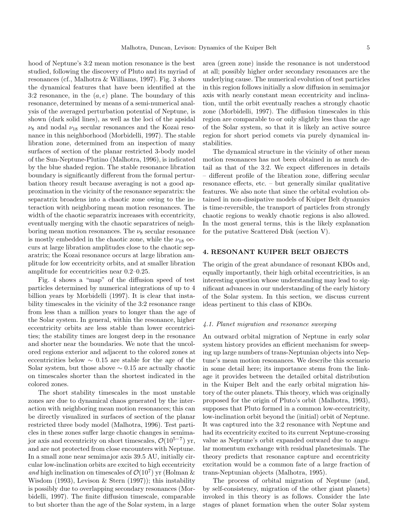hood of Neptune's 3:2 mean motion resonance is the best studied, following the discovery of Pluto and its myriad of resonances (cf., Malhotra & Williams, 1997). Fig. 3 shows the dynamical features that have been identified at the 3:2 resonance, in the  $(a, e)$  plane. The boundary of this resonance, determined by means of a semi-numerical analysis of the averaged perturbation potential of Neptune, is shown (dark solid lines), as well as the loci of the apsidal  $\nu_8$  and nodal  $\nu_{18}$  secular resonances and the Kozai resonance in this neighborhood (Morbidelli, 1997). The stable libration zone, determined from an inspection of many surfaces of section of the planar restricted 3-body model of the Sun-Neptune-Plutino (Malhotra, 1996), is indicated by the blue shaded region. The stable resonance libration boundary is significantly different from the formal perturbation theory result because averaging is not a good approximation in the vicinity of the resonance separatrix: the separatrix broadens into a chaotic zone owing to the interaction with neighboring mean motion resonances. The width of the chaotic separatrix increases with eccentricity, eventually merging with the chaotic separatrices of neighboring mean motion resonances. The  $\nu_8$  secular resonance is mostly embedded in the chaotic zone, while the  $\nu_{18}$  occurs at large libration amplitudes close to the chaotic separatrix; the Kozai resonance occurs at large libration amplitude for low eccentricity orbits, and at smaller libration amplitude for eccentricities near 0.2–0.25.

Fig. 4 shows a "map" of the diffusion speed of test particles determined by numerical integrations of up to 4 billion years by Morbidelli (1997). It is clear that instability timescales in the vicinity of the 3:2 resonance range from less than a million years to longer than the age of the Solar system. In general, within the resonance, higher eccentricity orbits are less stable than lower eccentricities; the stability times are longest deep in the resonance and shorter near the boundaries. We note that the uncolored regions exterior and adjacent to the colored zones at eccentricities below  $\sim 0.15$  are stable for the age of the Solar system, but those above  $\sim 0.15$  are actually chaotic on timescales shorter than the shortest indicated in the colored zones.

The short stability timescales in the most unstable zones are due to dynamical chaos generated by the interaction with neighboring mean motion resonances; this can be directly visualized in surfaces of section of the planar restricted three body model (Malhotra, 1996). Test particles in these zones suffer large chaotic changes in semimajor axis and eccentricity on short timescales,  $\mathcal{O}(10^{5-7})$  yr, and are not protected from close encounters with Neptune. In a small zone near semimajor axis 39.5 AU, initially circular low-inclination orbits are excited to high eccentricity and high inclination on timescales of  $\mathcal{O}(10^7)$  yr (Holman & Wisdom (1993), Levison & Stern (1997)); this instability is possibly due to overlapping secondary resonances (Morbidelli, 1997). The finite diffusion timescale, comparable to but shorter than the age of the Solar system, in a large area (green zone) inside the resonance is not understood at all; possibly higher order secondary resonances are the underlying cause. The numerical evolution of test particles in this region follows initially a slow diffusion in semimajor axis with nearly constant mean eccentricity and inclination, until the orbit eventually reaches a strongly chaotic zone (Morbidelli, 1997). The diffusion timescales in this region are comparable to or only slightly less than the age of the Solar system, so that it is likely an active source region for short period comets via purely dynamical instabilities.

The dynamical structure in the vicinity of other mean motion resonances has not been obtained in as much detail as that of the 3:2. We expect differences in details – different profile of the libration zone, differing secular resonance effects, etc. – but generally similar qualitative features. We also note that since the orbital evolution obtained in non-dissipative models of Kuiper Belt dynamics is time-reversible, the transport of particles from strongly chaotic regions to weakly chaotic regions is also allowed. In the most general terms, this is the likely explanation for the putative Scattered Disk (section V).

# **4. RESONANT KUIPER BELT OBJECTS**

The origin of the great abundance of resonant KBOs and, equally importantly, their high orbital eccentricities, is an interesting question whose understanding may lead to significant advances in our understanding of the early history of the Solar system. In this section, we discuss current ideas pertinent to this class of KBOs.

#### *4.1. Planet migration and resonance sweeping*

An outward orbital migration of Neptune in early solar system history provides an efficient mechanism for sweeping up large numbers of trans-Neptunian objects into Neptune's mean motion resonances. We describe this scenario in some detail here; its importance stems from the linkage it provides between the detailed orbital distribution in the Kuiper Belt and the early orbital migration history of the outer planets. This theory, which was originally proposed for the origin of Pluto's orbit (Malhotra, 1993), supposes that Pluto formed in a common low-eccentricity, low-inclination orbit beyond the (initial) orbit of Neptune. It was captured into the 3:2 resonance with Neptune and had its eccentricity excited to its current Neptune-crossing value as Neptune's orbit expanded outward due to angular momentum exchange with residual planetesimals. The theory predicts that resonance capture and eccentricity excitation would be a common fate of a large fraction of trans-Neptunian objects (Malhotra, 1995).

The process of orbital migration of Neptune (and, by self-consistency, migration of the other giant planets) invoked in this theory is as follows. Consider the late stages of planet formation when the outer Solar system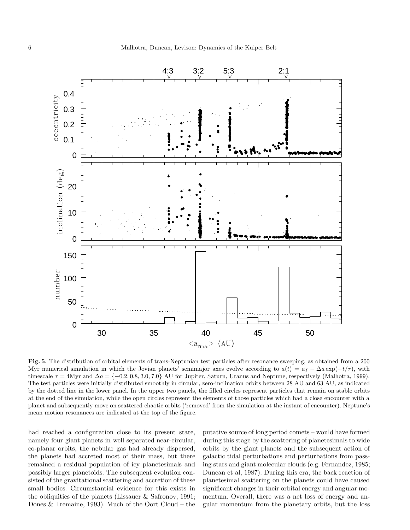

**Fig. 5.** The distribution of orbital elements of trans-Neptunian test particles after resonance sweeping, as obtained from a 200 Myr numerical simulation in which the Jovian planets' semimajor axes evolve according to  $a(t) = a_f - \Delta a \exp(-t/\tau)$ , with timescale  $\tau = 4Myr$  and  $\Delta a = \{-0.2, 0.8, 3.0, 7.0\}$  AU for Jupiter, Saturn, Uranus and Neptune, respectively (Malhotra, 1999). The test particles were initially distributed smoothly in circular, zero-inclination orbits between 28 AU and 63 AU, as indicated by the dotted line in the lower panel. In the upper two panels, the filled circles represent particles that remain on stable orbits at the end of the simulation, while the open circles represent the elements of those particles which had a close encounter with a planet and subsequently move on scattered chaotic orbits ('removed' from the simulation at the instant of encounter). Neptune's mean motion resonances are indicated at the top of the figure.

had reached a configuration close to its present state, namely four giant planets in well separated near-circular, co-planar orbits, the nebular gas had already dispersed, the planets had accreted most of their mass, but there remained a residual population of icy planetesimals and possibly larger planetoids. The subsequent evolution consisted of the gravitational scattering and accretion of these small bodies. Circumstantial evidence for this exists in the obliquities of the planets (Lissauer & Safronov, 1991; Dones & Tremaine, 1993). Much of the Oort Cloud – the

putative source of long period comets – would have formed during this stage by the scattering of planetesimals to wide orbits by the giant planets and the subsequent action of galactic tidal perturbations and perturbations from passing stars and giant molecular clouds (e.g. Fernandez, 1985; Duncan et al, 1987). During this era, the back reaction of planetesimal scattering on the planets could have caused significant changes in their orbital energy and angular momentum. Overall, there was a net loss of energy and angular momentum from the planetary orbits, but the loss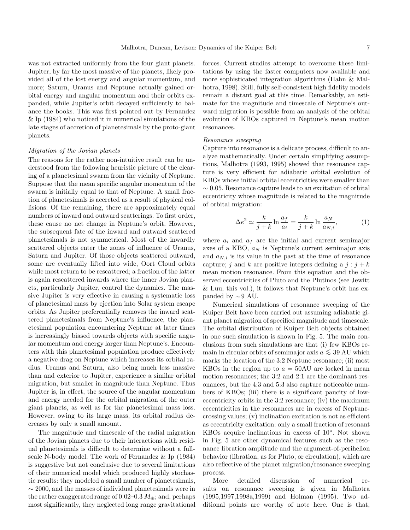was not extracted uniformly from the four giant planets. Jupiter, by far the most massive of the planets, likely provided all of the lost energy and angular momentum, and more; Saturn, Uranus and Neptune actually gained orbital energy and angular momentum and their orbits expanded, while Jupiter's orbit decayed sufficiently to balance the books. This was first pointed out by Fernandez & Ip (1984) who noticed it in numerical simulations of the late stages of accretion of planetesimals by the proto-giant planets.

#### *Migration of the Jovian planets*

The reasons for the rather non-intuitive result can be understood from the following heuristic picture of the clearing of a planetesimal swarm from the vicinity of Neptune. Suppose that the mean specific angular momentum of the swarm is initially equal to that of Neptune. A small fraction of planetesimals is accreted as a result of physical collisions. Of the remaining, there are approximately equal numbers of inward and outward scatterings. To first order, these cause no net change in Neptune's orbit. However, the subsequent fate of the inward and outward scattered planetesimals is not symmetrical. Most of the inwardly scattered objects enter the zones of influence of Uranus, Saturn and Jupiter. Of those objects scattered outward, some are eventually lifted into wide, Oort Cloud orbits while most return to be rescattered; a fraction of the latter is again rescattered inwards where the inner Jovian planets, particularly Jupiter, control the dynamics. The massive Jupiter is very effective in causing a systematic loss of planetesimal mass by ejection into Solar system escape orbits. As Jupiter preferentially removes the inward scattered planetesimals from Neptune's influence, the planetesimal population encountering Neptune at later times is increasingly biased towards objects with specific angular momentum and energy larger than Neptune's. Encounters with this planetesimal population produce effectively a negative drag on Neptune which increases its orbital radius. Uranus and Saturn, also being much less massive than and exterior to Jupiter, experience a similar orbital migration, but smaller in magnitude than Neptune. Thus Jupiter is, in effect, the source of the angular momentum and energy needed for the orbital migration of the outer giant planets, as well as for the planetesimal mass loss. However, owing to its large mass, its orbital radius decreases by only a small amount.

The magnitude and timescale of the radial migration of the Jovian planets due to their interactions with residual planetesimals is difficult to determine without a fullscale N-body model. The work of Fernandez & Ip (1984) is suggestive but not conclusive due to several limitations of their numerical model which produced highly stochastic results: they modeled a small number of planetesimals, ∼ 2000, and the masses of individual planetesimals were in the rather exaggerated range of 0.02–0.3  $M_{\oplus}$ ; and, perhaps most significantly, they neglected long range gravitational

forces. Current studies attempt to overcome these limitations by using the faster computers now available and more sophisticated integration algorithms (Hahn & Malhotra, 1998). Still, fully self-consistent high fidelity models remain a distant goal at this time. Remarkably, an estimate for the magnitude and timescale of Neptune's outward migration is possible from an analysis of the orbital evolution of KBOs captured in Neptune's mean motion resonances.

#### *Resonance sweeping*

Capture into resonance is a delicate process, difficult to analyze mathematically. Under certain simplifying assumptions, Malhotra (1993, 1995) showed that resonance capture is very efficient for adiabatic orbital evolution of KBOs whose initial orbital eccentricities were smaller than ∼ 0.05. Resonance capture leads to an excitation of orbital eccentricity whose magnitude is related to the magnitude of orbital migration:

$$
\Delta e^2 \simeq \frac{k}{j+k} \ln \frac{a_f}{a_i} = \frac{k}{j+k} \ln \frac{a_N}{a_{N,i}},\tag{1}
$$

where  $a_i$  and  $a_f$  are the initial and current semimajor axes of a KBO,  $a_N$  is Neptune's current semimajor axis and  $a_{N,i}$  is its value in the past at the time of resonance capture; j and k are positive integers defining a  $j : j + k$ mean motion resonance. From this equation and the observed eccentricities of Pluto and the Plutinos (see Jewitt & Luu, this vol.), it follows that Neptune's orbit has expanded by  $\sim$ 9 AU.

Numerical simulations of resonance sweeping of the Kuiper Belt have been carried out assuming adiabatic giant planet migration of specified magnitude and timescale. The orbital distribution of Kuiper Belt objects obtained in one such simulation is shown in Fig. 5. The main conclusions from such simulations are that (i) few KBOs remain in circular orbits of semimajor axis  $a \lesssim 39$  AU which marks the location of the 3:2 Neptune resonance; (ii) most KBOs in the region up to  $a = 50$ AU are locked in mean motion resonances; the 3:2 and 2:1 are the dominant resonances, but the 4:3 and 5:3 also capture noticeable numbers of KBOs; (iii) there is a significant paucity of loweccentricity orbits in the 3:2 resonance; (iv) the maximum eccentricities in the resonances are in excess of Neptunecrossing values; (v) inclination excitation is not as efficient as eccentricity excitation: only a small fraction of resonant KBOs acquire inclinations in excess of 10◦. Not shown in Fig. 5 are other dynamical features such as the resonance libration amplitude and the argument-of-perihelion behavior (libration, as for Pluto, or circulation), which are also reflective of the planet migration/resonance sweeping process.

More detailed discussion of numerical results on resonance sweeping is given in Malhotra (1995,1997,1998a,1999) and Holman (1995). Two additional points are worthy of note here. One is that,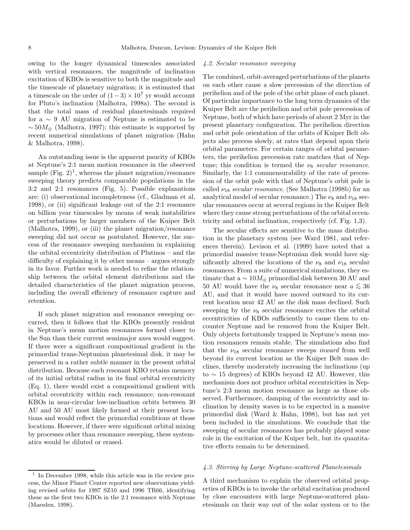owing to the longer dynamical timescales associated with vertical resonances, the magnitude of inclination excitation of KBOs is sensitive to both the magnitude and the timescale of planetary migration; it is estimated that a timescale on the order of  $(1-3) \times 10^7$  yr would account for Pluto's inclination (Malhotra, 1998a). The second is that the total mass of residual planetesimals required for a ∼ 9 AU migration of Neptune is estimated to be  $\sim 50 M_{\oplus}$  (Malhotra, 1997); this estimate is supported by recent numerical simulations of planet migration (Hahn & Malhotra, 1998).

An outstanding issue is the apparent paucity of KBOs at Neptune's 2:1 mean motion resonance in the observed sample (Fig.  $2)^1$ , whereas the planet migration/resonance sweeping theory predicts comparable populations in the 3:2 and 2:1 resonances (Fig. 5). Possible explanations are: (i) observational incompleteness (cf., Gladman et al, 1998), or (ii) significant leakage out of the 2:1 resonance on billion year timescales by means of weak instabilities or perturbations by larger members of the Kuiper Belt (Malhotra, 1999), or (iii) the planet migration/resonance sweeping did not occur as postulated. However, the success of the resonance sweeping mechanism in explaining the orbital eccentricity distribution of Plutinos – and the difficulty of explaining it by other means – argues strongly in its favor. Further work is needed to refine the relationship between the orbital element distributions and the detailed characteristics of the planet migration process, including the overall efficiency of resonance capture and retention.

If such planet migration and resonance sweeping occurred, then it follows that the KBOs presently resident in Neptune's mean motion resonances formed closer to the Sun than their current semimajor axes would suggest. If there were a significant compositional gradient in the primordial trans-Neptunian planetesimal disk, it may be preserved in a rather subtle manner in the present orbital distribution. Because each resonant KBO retains memory of its initial orbital radius in its final orbital eccentricity (Eq. 1), there would exist a compositional gradient with orbital eccentricity within each resonance; non-resonant KBOs in near-circular low-inclination orbits between 30 AU and 50 AU most likely formed at their present locations and would reflect the primordial conditions at those locations. However, if there were significant orbital mixing by processes other than resonance sweeping, these systematics would be diluted or erased.

## <sup>1</sup> In December 1998, while this article was in the review process, the Minor Planet Center reported new observations yielding revised orbits for 1997 SZ10 and 1996 TR66, identifying these as the first two KBOs in the 2:1 resonance with Neptune (Marsden, 1998).

#### *4.2. Secular resonance sweeping*

The combined, orbit-averaged perturbations of the planets on each other cause a slow precession of the direction of perihelion and of the pole of the orbit plane of each planet. Of particular importance to the long term dynamics of the Kuiper Belt are the perihelion and orbit pole precession of Neptune, both of which have periods of about 2 Myr in the present planetary configuration. The perihelion direction and orbit pole orientation of the orbits of Kuiper Belt objects also precess slowly, at rates that depend upon their orbital parameters. For certain ranges of orbital parameters, the perihelion precession rate matches that of Neptune; this condition is termed the  $\nu_8$  *secular resonance*. Similarly, the 1:1 commensurability of the rate of precession of the orbit pole with that of Neptune's orbit pole is called  $\nu_{18}$  *secular resonance*. (See Malhotra (1998b) for an analytical model of secular resonance.) The  $\nu_8$  and  $\nu_{18}$  secular resonances occur at several regions in the Kuiper Belt where they cause strong perturbations of the orbital eccentricity and orbital inclination, respectively (cf. Fig. 1,3).

The secular effects are sensitive to the mass distribution in the planetary system (see Ward 1981, and references therein). Levison et al. (1999) have noted that a primordial massive trans-Neptunian disk would have significantly altered the locations of the  $\nu_8$  and  $\nu_{18}$  secular resonances. From a suite of numerical simulations, they estimate that a  $\sim 10 M_{\oplus}$  primordial disk between 30 AU and 50 AU would have the  $\nu_8$  secular resonance near  $a \lesssim 36$ AU, and that it would have moved outward to its current location near 42 AU as the disk mass declined. Such sweeping by the  $\nu_8$  secular resonance excites the orbital eccentricities of KBOs sufficiently to cause them to encounter Neptune and be removed from the Kuiper Belt. Only objects fortuitously trapped in Neptune's mean motion resonances remain stable. The simulations also find that the  $\nu_{18}$  secular resonance sweeps *inward* from well beyond its current location as the Kuiper Belt mass declines, thereby moderately increasing the inclinations (up to ∼ 15 degrees) of KBOs beyond 42 AU. However, this mechanism does not produce orbital eccentricities in Neptune's 2:3 mean motion resonance as large as those observed. Furthermore, damping of the eccentricity and inclination by density waves is to be expected in a massive primordial disk (Ward & Hahn, 1998), but has not yet been included in the simulations. We conclude that the sweeping of secular resonances has probably played some role in the excitation of the Kuiper belt, but its quantitative effects remain to be determined.

#### *4.3. Stirring by Large Neptune-scattered Planetesimals*

A third mechanism to explain the observed orbital properties of KBOs is to invoke the orbital excitation produced by close encounters with large Neptune-scattered planetesimals on their way out of the solar system or to the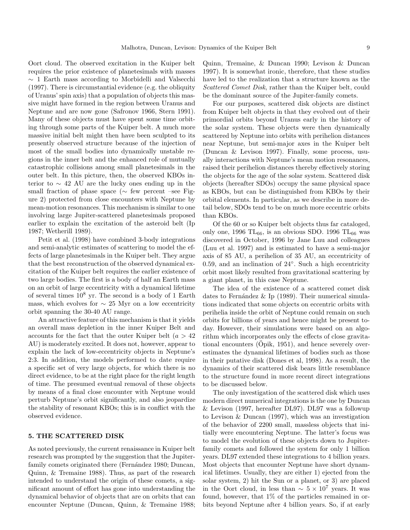Oort cloud. The observed excitation in the Kuiper belt requires the prior existence of planetesimals with masses ∼ 1 Earth mass according to Morbidelli and Valsecchi (1997). There is circumstantial evidence (e.g. the obliquity of Uranus' spin axis) that a population of objects this massive might have formed in the region between Uranus and Neptune and are now gone (Safronov 1966, Stern 1991). Many of these objects must have spent some time orbiting through some parts of the Kuiper belt. A much more massive initial belt might then have been sculpted to its presently observed structure because of the injection of most of the small bodies into dynamically unstable regions in the inner belt and the enhanced role of mutually catastrophic collisions among small planetesimals in the outer belt. In this picture, then, the observed KBOs interior to ∼ 42 AU are the lucky ones ending up in the small fraction of phase space ( $\sim$  few percent –see Figure 2) protected from close encounters with Neptune by mean-motion resonances. This mechanism is similar to one involving large Jupiter-scattered planetesimals proposed earlier to explain the excitation of the asteroid belt (Ip 1987; Wetherill 1989).

Petit et al. (1998) have combined 3-body integrations and semi-analytic estimates of scattering to model the effects of large planetesimals in the Kuiper belt. They argue that the best reconstruction of the observed dynamical excitation of the Kuiper belt requires the earlier existence of two large bodies. The first is a body of half an Earth mass on an orbit of large eccentricity with a dynamical lifetime of several times  $10^8$  yr. The second is a body of 1 Earth mass, which evolves for  $\sim$  25 Myr on a low eccentricity orbit spanning the 30-40 AU range.

An attractive feature of this mechanism is that it yields an overall mass depletion in the inner Kuiper Belt and accounts for the fact that the outer Kuiper belt  $(a > 42)$ AU) is moderately excited. It does not, however, appear to explain the lack of low-eccentricity objects in Neptune's 2:3. In addition, the models performed to date require a specific set of very large objects, for which there is no direct evidence, to be at the right place for the right length of time. The presumed eventual removal of these objects by means of a final close encounter with Neptune would perturb Neptune's orbit significantly, and also jeopardize the stability of resonant KBOs; this is in conflict with the observed evidence.

## **5. THE SCATTERED DISK**

As noted previously, the current renaissance in Kuiper belt research was prompted by the suggestion that the Jupiterfamily comets originated there (Fernández 1980; Duncan, Quinn, & Tremaine 1988). Thus, as part of the research intended to understand the origin of these comets, a significant amount of effort has gone into understanding the dynamical behavior of objects that are on orbits that can encounter Neptune (Duncan, Quinn, & Tremaine 1988; Quinn, Tremaine, & Duncan 1990; Levison & Duncan 1997). It is somewhat ironic, therefore, that these studies have led to the realization that a structure known as the *Scattered Comet Disk*, rather than the Kuiper belt, could be the dominant source of the Jupiter-family comets.

For our purposes, scattered disk objects are distinct from Kuiper belt objects in that they evolved out of their primordial orbits beyond Uranus early in the history of the solar system. These objects were then dynamically scattered by Neptune into orbits with perihelion distances near Neptune, but semi-major axes in the Kuiper belt (Duncan & Levison 1997). Finally, some process, usually interactions with Neptune's mean motion resonances, raised their perihelion distances thereby effectively storing the objects for the age of the solar system. Scattered disk objects (hereafter SDOs) occupy the same physical space as KBOs, but can be distinguished from KBOs by their orbital elements. In particular, as we describe in more detail below, SDOs tend to be on much more eccentric orbits than KBOs.

Of the 60 or so Kuiper belt objects thus far cataloged, only one, 1996  $TL_{66}$ , is an obvious SDO. 1996  $TL_{66}$  was discovered in October, 1996 by Jane Luu and colleagues (Luu et al. 1997) and is estimated to have a semi-major axis of 85 AU, a perihelion of 35 AU, an eccentricity of 0.59, and an inclination of 24◦. Such a high eccentricity orbit most likely resulted from gravitational scattering by a giant planet, in this case Neptune.

The idea of the existence of a scattered comet disk dates to Fernández & Ip (1989). Their numerical simulations indicated that some objects on eccentric orbits with perihelia inside the orbit of Neptune could remain on such orbits for billions of years and hence might be present today. However, their simulations were based on an algorithm which incorporates only the effects of close gravitational encounters  $(Opik, 1951)$ , and hence severely overestimates the dynamical lifetimes of bodies such as those in their putative disk (Dones et al, 1998). As a result, the dynamics of their scattered disk bears little resemblance to the structure found in more recent direct integrations to be discussed below.

The only investigation of the scattered disk which uses modern direct numerical integrations is the one by Duncan & Levison (1997, hereafter DL97). DL97 was a followup to Levison & Duncan (1997), which was an investigation of the behavior of 2200 small, massless objects that initially were encountering Neptune. The latter's focus was to model the evolution of these objects down to Jupiterfamily comets and followed the system for only 1 billion years. DL97 extended these integrations to 4 billion years. Most objects that encounter Neptune have short dynamical lifetimes. Usually, they are either 1) ejected from the solar system, 2) hit the Sun or a planet, or 3) are placed in the Oort cloud, in less than <sup>∼</sup> <sup>5</sup> <sup>×</sup> <sup>10</sup><sup>7</sup> years. It was found, however, that 1% of the particles remained in orbits beyond Neptune after 4 billion years. So, if at early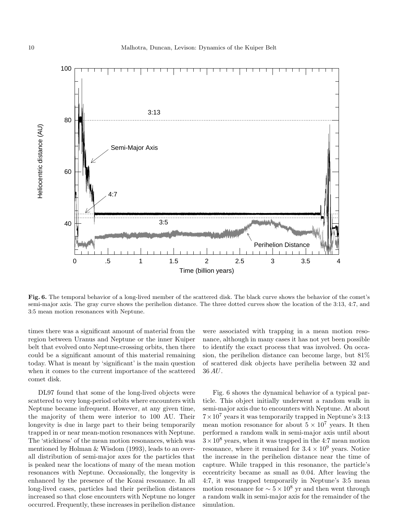

**Fig. 6.** The temporal behavior of a long-lived member of the scattered disk. The black curve shows the behavior of the comet's semi-major axis. The gray curve shows the perihelion distance. The three dotted curves show the location of the 3:13, 4:7, and 3:5 mean motion resonances with Neptune.

times there was a significant amount of material from the region between Uranus and Neptune or the inner Kuiper belt that evolved onto Neptune-crossing orbits, then there could be a significant amount of this material remaining today. What is meant by 'significant' is the main question when it comes to the current importance of the scattered comet disk.

DL97 found that some of the long-lived objects were scattered to very long-period orbits where encounters with Neptune became infrequent. However, at any given time, the majority of them were interior to 100 AU. Their longevity is due in large part to their being temporarily trapped in or near mean-motion resonances with Neptune. The 'stickiness' of the mean motion resonances, which was mentioned by Holman & Wisdom (1993), leads to an overall distribution of semi-major axes for the particles that is peaked near the locations of many of the mean motion resonances with Neptune. Occasionally, the longevity is enhanced by the presence of the Kozai resonance. In all long-lived cases, particles had their perihelion distances increased so that close encounters with Neptune no longer occurred. Frequently, these increases in perihelion distance

were associated with trapping in a mean motion resonance, although in many cases it has not yet been possible to identify the exact process that was involved. On occasion, the perihelion distance can become large, but 81% of scattered disk objects have perihelia between 32 and 36 AU.

Fig. 6 shows the dynamical behavior of a typical particle. This object initially underwent a random walk in semi-major axis due to encounters with Neptune. At about  $7 \times 10^7$  years it was temporarily trapped in Neptune's 3:13 mean motion resonance for about  $5 \times 10^7$  years. It then performed a random walk in semi-major axis until about  $3 \times 10^8$  years, when it was trapped in the 4:7 mean motion resonance, where it remained for  $3.4 \times 10^9$  years. Notice the increase in the perihelion distance near the time of capture. While trapped in this resonance, the particle's eccentricity became as small as 0.04. After leaving the 4:7, it was trapped temporarily in Neptune's 3:5 mean motion resonance for  $\sim 5 \times 10^8$  yr and then went through a random walk in semi-major axis for the remainder of the simulation.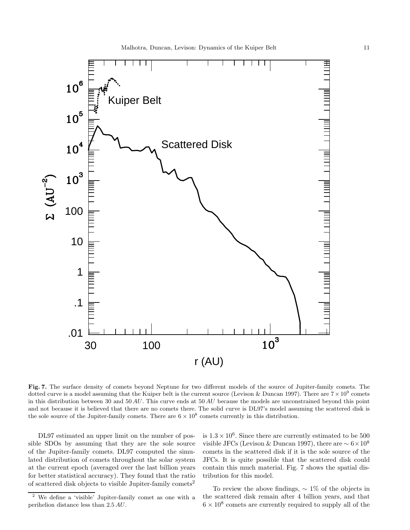

**Fig. 7.** The surface density of comets beyond Neptune for two different models of the source of Jupiter-family comets. The dotted curve is a model assuming that the Kuiper belt is the current source (Levison & Duncan 1997). There are  $7 \times 10^9$  comets in this distribution between 30 and 50  $AU$ . This curve ends at 50  $AU$  because the models are unconstrained beyond this point and not because it is believed that there are no comets there. The solid curve is DL97's model assuming the scattered disk is the sole source of the Jupiter-family comets. There are  $6 \times 10^8$  comets currently in this distribution.

DL97 estimated an upper limit on the number of possible SDOs by assuming that they are the sole source of the Jupiter-family comets. DL97 computed the simulated distribution of comets throughout the solar system at the current epoch (averaged over the last billion years for better statistical accuracy). They found that the ratio of scattered disk objects to visible Jupiter-family comets<sup>2</sup>

is  $1.3 \times 10^6$ . Since there are currently estimated to be 500 visible JFCs (Levison & Duncan 1997), there are  $\sim 6 \times 10^8$ comets in the scattered disk if it is the sole source of the JFCs. It is quite possible that the scattered disk could contain this much material. Fig. 7 shows the spatial distribution for this model.

To review the above findings,  $\sim 1\%$  of the objects in the scattered disk remain after 4 billion years, and that  $6 \times 10^8$  comets are currently required to supply all of the

<sup>2</sup> We define a 'visible' Jupiter-family comet as one with a perihelion distance less than 2.5 AU.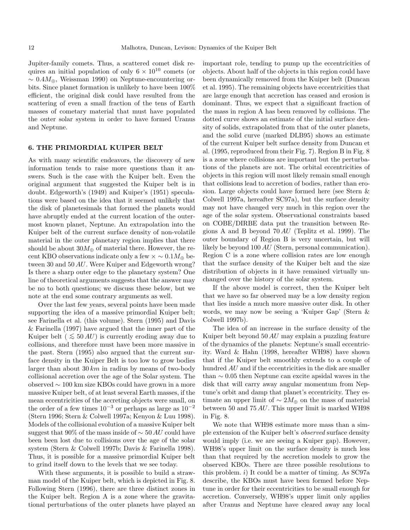Jupiter-family comets. Thus, a scattered comet disk requires an initial population of only  $6 \times 10^{10}$  comets (or  $\sim 0.4 M_{\oplus}$ , Weissman 1990) on Neptune-encountering orbits. Since planet formation is unlikely to have been 100% efficient, the original disk could have resulted from the scattering of even a small fraction of the tens of Earth masses of cometary material that must have populated the outer solar system in order to have formed Uranus and Neptune.

#### **6. THE PRIMORDIAL KUIPER BELT**

As with many scientific endeavors, the discovery of new information tends to raise more questions than it answers. Such is the case with the Kuiper belt. Even the original argument that suggested the Kuiper belt is in doubt. Edgeworth's (1949) and Kuiper's (1951) speculations were based on the idea that it seemed unlikely that the disk of planetesimals that formed the planets would have abruptly ended at the current location of the outermost known planet, Neptune. An extrapolation into the Kuiper belt of the current surface density of non-volatile material in the outer planetary region implies that there should be about  $30M_{\oplus}$  of material there. However, the recent KBO observations indicate only a few  $\times \sim 0.1 M_{\oplus}$  between 30 and 50 AU. Were Kuiper and Edgeworth wrong? Is there a sharp outer edge to the planetary system? One line of theoretical arguments suggests that the answer may be no to both questions; we discuss these below, but we note at the end some contrary arguments as well.

Over the last few years, several points have been made supporting the idea of a massive primordial Kuiper belt; see Farinella et al. (this volume). Stern (1995) and Davis & Farinella (1997) have argued that the inner part of the Kuiper belt ( $\leq 50 \, AU$ ) is currently eroding away due to collisions, and therefore must have been more massive in the past. Stern (1995) also argued that the current surface density in the Kuiper Belt is too low to grow bodies larger than about  $30 \, km$  in radius by means of two-body collisional accretion over the age of the Solar system. The observed ∼ 100 km size KBOs could have grown in a more massive Kuiper belt, of at least several Earth masses, if the mean eccentricities of the accreting objects were small, on the order of a few times  $10^{-3}$  or perhaps as large as  $10^{-2}$ (Stern 1996; Stern & Colwell 1997a; Kenyon & Luu 1998). Models of the collisional evolution of a massive Kuiper belt suggest that 90% of the mass inside of  $\sim$  50 AU could have been been lost due to collisions over the age of the solar system (Stern & Colwell 1997b; Davis & Farinella 1998). Thus, it is possible for a massive primordial Kuiper belt to grind itself down to the levels that we see today.

With these arguments, it is possible to build a strawman model of the Kuiper belt, which is depicted in Fig. 8. Following Stern (1996), there are three distinct zones in the Kuiper belt. Region A is a zone where the gravitational perturbations of the outer planets have played an important role, tending to pump up the eccentricities of objects. About half of the objects in this region could have been dynamically removed from the Kuiper belt (Duncan et al. 1995). The remaining objects have eccentricities that are large enough that accretion has ceased and erosion is dominant. Thus, we expect that a significant fraction of the mass in region A has been removed by collisions. The dotted curve shows an estimate of the initial surface density of solids, extrapolated from that of the outer planets, and the solid curve (marked DLB95) shows an estimate of the current Kuiper belt surface density from Duncan et al. (1995, reproduced from their Fig. 7). Region B in Fig. 8 is a zone where collisions are important but the perturbations of the planets are not. The orbital eccentricities of objects in this region will most likely remain small enough that collisions lead to accretion of bodies, rather than erosion. Large objects could have formed here (see Stern & Colwell 1997a, hereafter SC97a), but the surface density may not have changed very much in this region over the age of the solar system. Observational constraints based on COBE/DIRBE data put the transition between Regions A and B beyond 70 AU (Teplitz et al. 1999). The outer boundary of Region B is very uncertain, but will likely be beyond 100 AU (Stern, personal communication). Region C is a zone where collision rates are low enough that the surface density of the Kuiper belt and the size distribution of objects in it have remained virtually unchanged over the history of the solar system.

If the above model is correct, then the Kuiper belt that we have so far observed may be a low density region that lies inside a much more massive outer disk. In other words, we may now be seeing a 'Kuiper Gap' (Stern & Colwell 1997b).

The idea of an increase in the surface density of the Kuiper belt beyond 50 AU may explain a puzzling feature of the dynamics of the planets: Neptune's small eccentricity. Ward & Hahn (1998, hereafter WH98) have shown that if the Kuiper belt smoothly extends to a couple of hundred AU and if the eccentricities in the disk are smaller than ∼ 0.05 then Neptune can excite apsidal waves in the disk that will carry away angular momentum from Neptune's orbit and damp that planet's eccentricity. They estimate an upper limit of  $\sim 2M_{\oplus}$  on the mass of material between 50 and 75 AU. This upper limit is marked WH98 in Fig. 8.

We note that WH98 estimate more mass than a simple extension of the Kuiper belt's *observed* surface density would imply (i.e. we are seeing a Kuiper gap). However, WH98's upper limit on the surface density is much less than that required by the accretion models to grow the observed KBOs. There are three possible resolutions to this problem.  $i$ ) It could be a matter of timing. As SC97a describe, the KBOs must have been formed before Neptune in order for their eccentricities to be small enough for accretion. Conversely, WH98's upper limit only applies after Uranus and Neptune have cleared away any local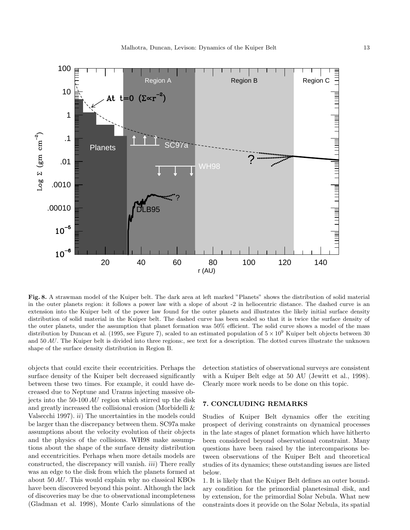

**Fig. 8.** A strawman model of the Kuiper belt. The dark area at left marked "Planets" shows the distribution of solid material in the outer planets region: it follows a power law with a slope of about -2 in heliocentric distance. The dashed curve is an extension into the Kuiper belt of the power law found for the outer planets and illustrates the likely initial surface density distribution of solid material in the Kuiper belt. The dashed curve has been scaled so that it is twice the surface density of the outer planets, under the assumption that planet formation was 50% efficient. The solid curve shows a model of the mass distribution by Duncan et al. (1995, see Figure 7), scaled to an estimated population of  $5 \times 10^9$  Kuiper belt objects between 30 and 50  $AU$ . The Kuiper belt is divided into three regions:, see text for a description. The dotted curves illustrate the unknown shape of the surface density distribution in Region B.

objects that could excite their eccentricities. Perhaps the surface density of the Kuiper belt decreased significantly between these two times. For example, it could have decreased due to Neptune and Uranus injecting massive objects into the  $50-100 \, AU$  region which stirred up the disk and greatly increased the collisional erosion (Morbidelli & Valsecchi 1997).  $ii)$  The uncertainties in the models could be larger than the discrepancy between them. SC97a make assumptions about the velocity evolution of their objects and the physics of the collisions. WH98 make assumptions about the shape of the surface density distribution and eccentricities. Perhaps when more details models are constructed, the discrepancy will vanish.  $iii)$  There really was an edge to the disk from which the planets formed at about 50 AU. This would explain why no classical KBOs have been discovered beyond this point. Although the lack of discoveries may be due to observational incompleteness (Gladman et al. 1998), Monte Carlo simulations of the

detection statistics of observational surveys are consistent with a Kuiper Belt edge at 50 AU (Jewitt et al., 1998). Clearly more work needs to be done on this topic.

# **7. CONCLUDING REMARKS**

Studies of Kuiper Belt dynamics offer the exciting prospect of deriving constraints on dynamical processes in the late stages of planet formation which have hitherto been considered beyond observational constraint. Many questions have been raised by the intercomparisons between observations of the Kuiper Belt and theoretical studies of its dynamics; these outstanding issues are listed below.

1. It is likely that the Kuiper Belt defines an outer boundary condition for the primordial planetesimal disk, and by extension, for the primordial Solar Nebula. What new constraints does it provide on the Solar Nebula, its spatial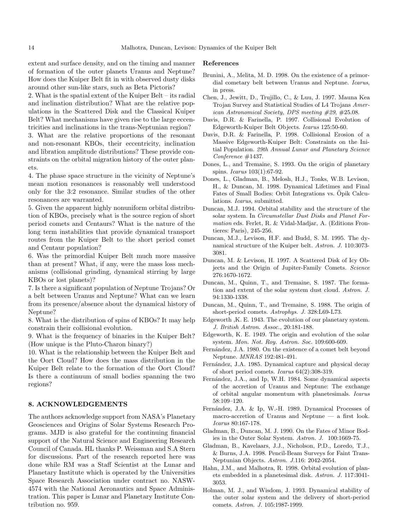extent and surface density, and on the timing and manner of formation of the outer planets Uranus and Neptune? How does the Kuiper Belt fit in with observed dusty disks around other sun-like stars, such as Beta Pictoris?

2. What is the spatial extent of the Kuiper Belt – its radial and inclination distribution? What are the relative populations in the Scattered Disk and the Classical Kuiper Belt? What mechanisms have given rise to the large eccentricities and inclinations in the trans-Neptunian region?

3. What are the relative proportions of the resonant and non-resonant KBOs, their eccentricity, inclination and libration amplitude distributions? These provide constraints on the orbital migration history of the outer planets.

4. The phase space structure in the vicinity of Neptune's mean motion resonances is reasonably well understood only for the 3:2 resonance. Similar studies of the other resonances are warranted.

5. Given the apparent highly nonuniform orbital distribution of KBOs, precisely what is the source region of short period comets and Centaurs? What is the nature of the long term instabilities that provide dynamical transport routes from the Kuiper Belt to the short period comet and Centaur population?

6. Was the primordial Kuiper Belt much more massive than at present? What, if any, were the mass loss mechanisms (collisional grinding, dynamical stirring by large KBOs or lost planets)?

7. Is there a significant population of Neptune Trojans? Or a belt between Uranus and Neptune? What can we learn from its presence/absence about the dynamical history of Neptune?

8. What is the distribution of spins of KBOs? It may help constrain their collisional evolution.

9. What is the frequency of binaries in the Kuiper Belt? (How unique is the Pluto-Charon binary?)

10. What is the relationship between the Kuiper Belt and the Oort Cloud? How does the mass distribution in the Kuiper Belt relate to the formation of the Oort Cloud? Is there a continuum of small bodies spanning the two regions?

#### **8. ACKNOWLEDGEMENTS**

The authors acknowledge support from NASA's Planetary Geosciences and Origins of Solar Systems Research Programs. MJD is also grateful for the continuing financial support of the Natural Science and Engineering Research Council of Canada. HL thanks P. Weissman and S.A Stern for discussions. Part of the research reported here was done while RM was a Staff Scientist at the Lunar and Planetary Institute which is operated by the Universities Space Research Association under contract no. NASW-4574 with the National Aeronautics and Space Administration. This paper is Lunar and Planetary Institute Contribution no. 959.

#### **References**

- Brunini, A., Melita, M. D. 1998. On the existence of a primordial cometary belt between Uranus and Neptune. Icarus, in press.
- Chen, J., Jewitt, D., Trujillo, C., & Luu, J. 1997. Mauna Kea Trojan Survey and Statistical Studies of L4 Trojans American Astronomical Society, DPS meeting #29, #25.08.
- Davis, D.R. & Farinella, P. 1997. Collisional Evolution of Edgeworth-Kuiper Belt Objects. Icarus 125:50-60.
- Davis, D.R. & Farinella, P. 1998. Collisional Erosion of a Massive Edgeworth-Kuiper Belt: Constraints on the Initial Population. 29th Annual Lunar and Planetary Science Conference #1437.
- Dones, L., and Tremaine, S. 1993. On the origin of planetary spins. Icarus 103(1):67-92.
- Dones, L., Gladman, B., Melosh, H.J., Tonks, W.B. Levison, H., & Duncan, M. 1998. Dynamical Lifetimes and Final Fates of Small Bodies: Orbit Integrations vs. Opik Calculations. Icarus, submitted.
- Duncan, M.J. 1994. Orbital stability and the structure of the solar system. In Circumstellar Dust Disks and Planet Formation eds. Ferlet, R. & Vidal-Madjar, A. (Editions Frontieres: Paris), 245-256.
- Duncan, M.J., Levison, H.F. and Budd, S. M. 1995. The dynamical structure of the Kuiper belt. Astron. J. 110:3073- 3081.
- Duncan, M. & Levison, H. 1997. A Scattered Disk of Icy Objects and the Origin of Jupiter-Family Comets. Science 276:1670-1672.
- Duncan, M., Quinn, T., and Tremaine, S. 1987. The formation and extent of the solar system dust cloud. Astron. J. 94:1330-1338.
- Duncan, M., Quinn, T., and Tremaine, S. 1988. The origin of short-period comets. Astrophys. J. 328:L69-L73.
- Edgeworth ,K. E. 1943. The evolution of our planetary system. J. British Astron. Assoc., 20:181-188.
- Edgeworth, K. E. 1949. The origin and evolution of the solar system. Mon. Not. Roy. Astron. Soc. 109:600-609.
- Fernández, J.A. 1980. On the existence of a comet belt beyond Neptune. MNRAS 192:481-491.
- Fernández, J.A. 1985. Dynamical capture and physical decay of short period comets. Icarus 64(2):308-319.
- Fernández, J.A., and Ip, W.H. 1984. Some dynamical aspects of the accretion of Uranus and Neptune: The exchange of orbital angular momentum with planetesimals. Icarus 58:109–120.
- Fernández, J.A. & Ip, W.-H. 1989. Dynamical Processes of macro-accretion of Uranus and Neptune — a first look. Icarus 80:167-178.
- Gladman, B., Duncan, M. J. 1990. On the Fates of Minor Bodies in the Outer Solar System. Astron. J. 100:1669-75.
- Gladman, B., Kavelaars, J.J., Nicholson, P.D., Loredo, T.J., & Burns, J.A. 1998. Pencil-Beam Surveys for Faint Trans-Neptunian Objects. Astron. J.116: 2042-2054.
- Hahn, J.M., and Malhotra, R. 1998. Orbital evolution of planets embedded in a planetesimal disk. Astron. J. 117:3041- 3053.
- Holman, M. J., and Wisdom, J. 1993. Dynamical stability of the outer solar system and the delivery of short-period comets. Astron. J. 105:1987-1999.